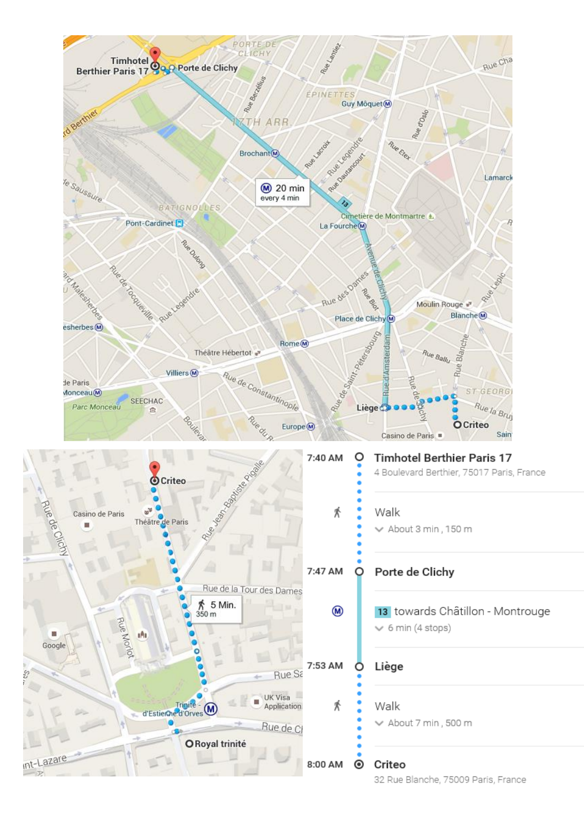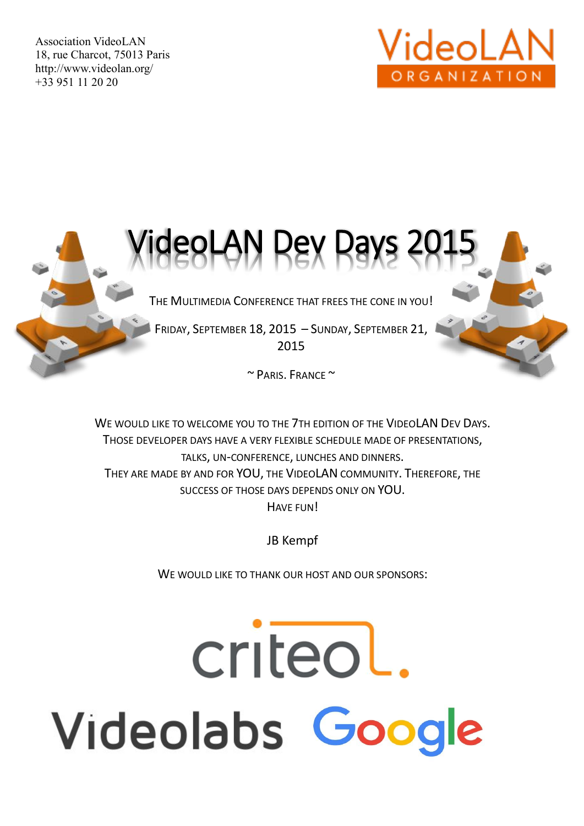Association VideoLAN 18, rue Charcot, 75013 Paris http://www.videolan.org/ +33 951 11 20 20





THE MULTIMEDIA CONFERENCE THAT FREES THE CONE IN YOU!

FRIDAY, SEPTEMBER 18, 2015 – SUNDAY, SEPTEMBER 21, 2015

 $\sim$  PARIS, FRANCE  $\sim$ 

WE WOULD LIKE TO WELCOME YOU TO THE 7TH EDITION OF THE VIDEOLAN DEV DAYS. THOSE DEVELOPER DAYS HAVE A VERY FLEXIBLE SCHEDULE MADE OF PRESENTATIONS, TALKS, UN-CONFERENCE, LUNCHES AND DINNERS. THEY ARE MADE BY AND FOR YOU, THE VIDEOLAN COMMUNITY. THEREFORE, THE SUCCESS OF THOSE DAYS DEPENDS ONLY ON YOU. HAVE FUN!

JB Kempf

WE WOULD LIKE TO THANK OUR HOST AND OUR SPONSORS:

# criteol. Videolabs Google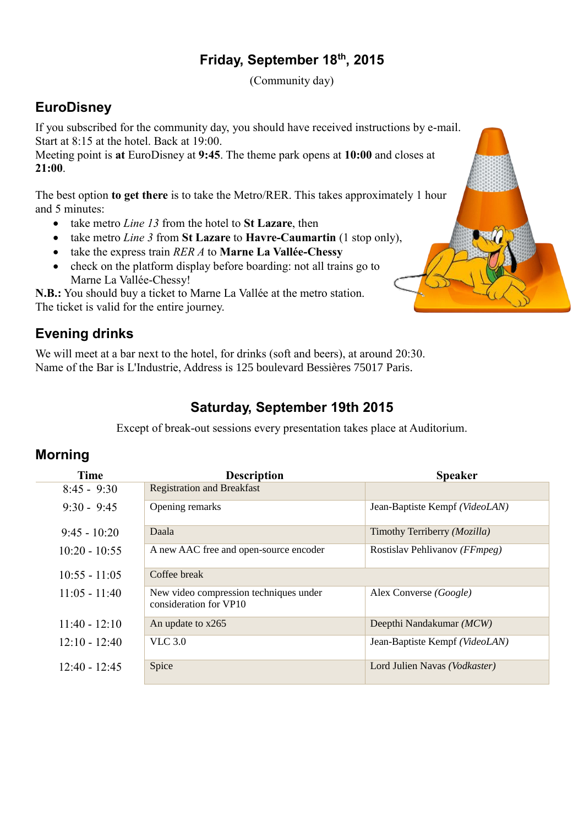#### **Friday, September 18th, 2015**

(Community day)

#### **EuroDisney**

If you subscribed for the community day, you should have received instructions by e-mail. Start at 8:15 at the hotel. Back at 19:00.

Meeting point is **at** EuroDisney at **9:45**. The theme park opens at **10:00** and closes at **21:00**.

The best option **to get there** is to take the Metro/RER. This takes approximately 1 hour and 5 minutes:

- take metro *Line 13* from the hotel to **St Lazare**, then
- take metro *Line 3* from **St Lazare** to **Havre-Caumartin** (1 stop only),
- take the express train *RER A* to **Marne La Vallée-Chessy**
- check on the platform display before boarding: not all trains go to Marne La Vallée-Chessy!

**N.B.:** You should buy a ticket to Marne La Vallée at the metro station. The ticket is valid for the entire journey.

## **Evening drinks**

We will meet at a bar next to the hotel, for drinks (soft and beers), at around 20:30. Name of the Bar is L'Industrie, Address is 125 boulevard Bessières 75017 Paris.

### **Saturday, September 19th 2015**

Except of break-out sessions every presentation takes place at Auditorium.

#### **Morning**

| <b>Time</b>     | <b>Description</b>                                               | <b>Speaker</b>                 |  |  |  |  |
|-----------------|------------------------------------------------------------------|--------------------------------|--|--|--|--|
| $8:45 - 9:30$   | <b>Registration and Breakfast</b>                                |                                |  |  |  |  |
| $9:30 - 9:45$   | Opening remarks                                                  | Jean-Baptiste Kempf (VideoLAN) |  |  |  |  |
| $9:45 - 10:20$  | Daala                                                            | Timothy Terriberry (Mozilla)   |  |  |  |  |
| $10:20 - 10:55$ | A new AAC free and open-source encoder                           | Rostislav Pehlivanov (FFmpeg)  |  |  |  |  |
| $10:55 - 11:05$ | Coffee break                                                     |                                |  |  |  |  |
| $11:05 - 11:40$ | New video compression techniques under<br>consideration for VP10 | Alex Converse (Google)         |  |  |  |  |
| $11:40 - 12:10$ | An update to x265                                                | Deepthi Nandakumar (MCW)       |  |  |  |  |
| $12:10 - 12:40$ | <b>VLC</b> 3.0                                                   | Jean-Baptiste Kempf (VideoLAN) |  |  |  |  |
| $12:40 - 12:45$ | Spice                                                            | Lord Julien Navas (Vodkaster)  |  |  |  |  |